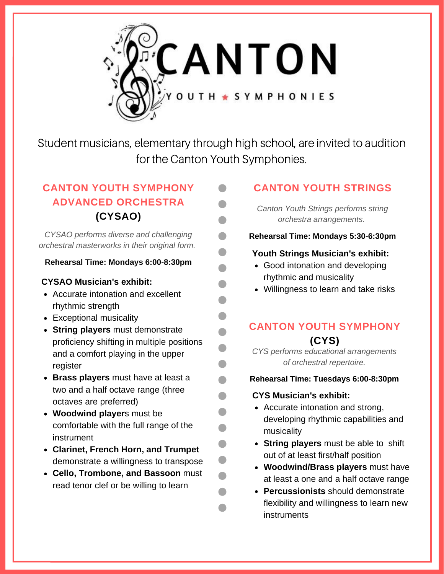

Student musicians, elementary through high school, are invited to audition for the Canton Youth Symphonies.

 $\blacksquare$ 

 $\blacksquare$ 

 $\blacksquare$ 

 $\blacksquare$ 

 $\blacksquare$ 

## **CANTON YOUTH SYMPHONY ADVANCED ORCHESTRA (CYSAO)**

*CYSAO performs diverse and challenging orchestral masterworks in their original form.*

#### **Rehearsal Time: Mondays 6:00-8:30pm**

#### **CYSAO Musician's exhibit:**

- Accurate intonation and excellent rhythmic strength
- Exceptional musicality
- **String players** must demonstrate proficiency shifting in multiple positions and a comfort playing in the upper register
- **Brass players** must have at least a two and a half octave range (three octaves are preferred)
- **Woodwind player**s must be comfortable with the full range of the instrument
- **Clarinet, French Horn, and Trumpet** demonstrate a willingness to transpose
- **Cello, Trombone, and Bassoon** must read tenor clef or be willing to learn

## **CANTON YOUTH STRINGS**

*Canton Youth Strings performs string orchestra arrangements.*

#### **Rehearsal Time: Mondays 5:30-6:30pm**

#### **Youth Strings Musician's exhibit:**

- Good intonation and developing rhythmic and musicality
- Willingness to learn and take risks

## **CANTON YOUTH SYMPHONY (CYS)**

*CYS performs educational arrangements of orchestral repertoire.*

#### **Rehearsal Time: Tuesdays 6:00-8:30pm**

#### **CYS Musician's exhibit:**

- Accurate intonation and strong, developing rhythmic capabilities and musicality
- **String players** must be able to shift out of at least first/half position
- **Woodwind/Brass players** must have at least a one and a half octave range
- **Percussionists** should demonstrate flexibility and willingness to learn new instruments